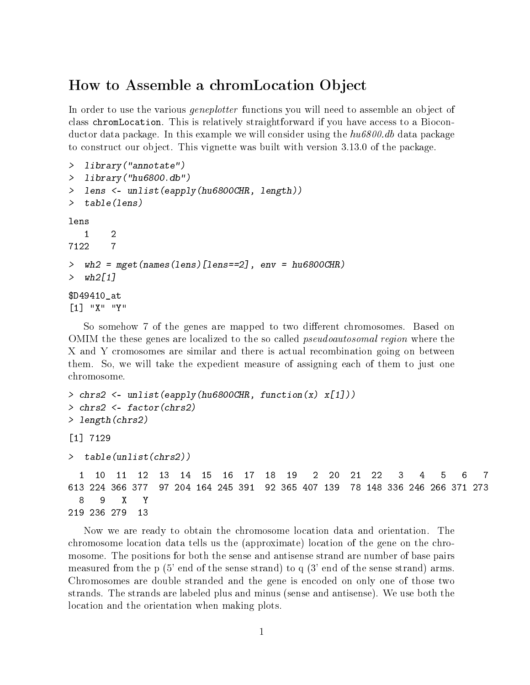## How to Assemble a chromLocation Object

In order to use the various *geneplotter* functions you will need to assemble an object of class chromLocation. This is relatively straightforward if you have access to a Bioconductor data package. In this example we will consider using the  $hu6800$  db data package to construct our object. This vignette was built with version 3.13.0 of the package.

```
> library("annotate")
> library("hu6800.db")
> lens <- unlist(eapply(hu6800CHR, length))
> table(lens)
lens
  1 2
7122 7
> wh2 = mget(names(lens)[lens==2], env = hu6800CHR)
> wh2[1]
$D49410_at
[1] "X" "Y"
```
So somehow 7 of the genes are mapped to two different chromosomes. Based on OMIM the these genes are localized to the so called *pseudoautosomal region* where the X and Y cromosomes are similar and there is actual recombination going on between them. So, we will take the expedient measure of assigning each of them to just one chromosome.

```
> chrs2 <- unlist(eapply(hu6800CHR, function(x) x[1]))
> chrs2 <- factor(chrs2)
> length(chrs2)
[1] 7129
> table(unlist(chrs2))
 1 10 11 12 13 14 15 16 17 18 19 2 20 21 22 3 4 5 6 7
613 224 366 377 97 204 164 245 391 92 365 407 139 78 148 336 246 266 371 273
 8 9 X Y
219 236 279 13
```
Now we are ready to obtain the chromosome location data and orientation. The chromosome location data tells us the (approximate) location of the gene on the chromosome. The positions for both the sense and antisense strand are number of base pairs measured from the p (5' end of the sense strand) to q (3' end of the sense strand) arms. Chromosomes are double stranded and the gene is encoded on only one of those two strands. The strands are labeled plus and minus (sense and antisense). We use both the location and the orientation when making plots.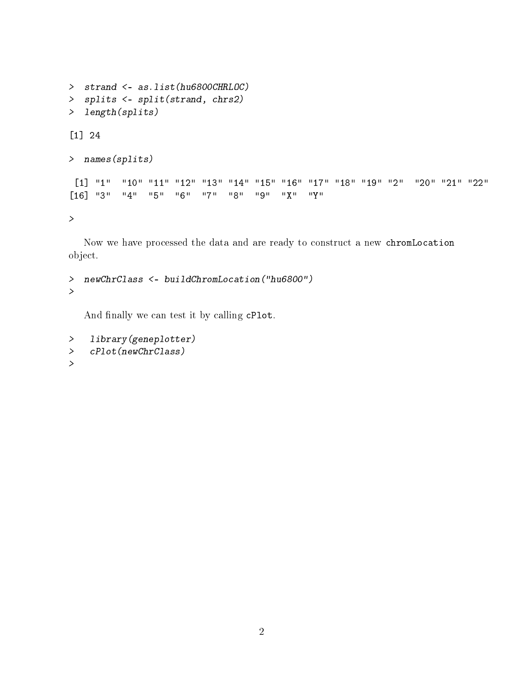```
> strand <- as.list(hu6800CHRLOC)
> splits <- split(strand, chrs2)
> length(splits)
[1] 24
> names(splits)
[1] "1" "10" "11" "12" "13" "14" "15" "16" "17" "18" "19" "2" "20" "21" "22"
[16] "3" "4" "5" "6" "7" "8" "9" "X" "Y"
\geq
```
Now we have processed the data and are ready to construct a new chromLocation object.

```
> newChrClass <- buildChromLocation("hu6800")
\geq
```
And finally we can test it by calling cPlot.

```
> library(geneplotter)
> cPlot(newChrClass)
>
```